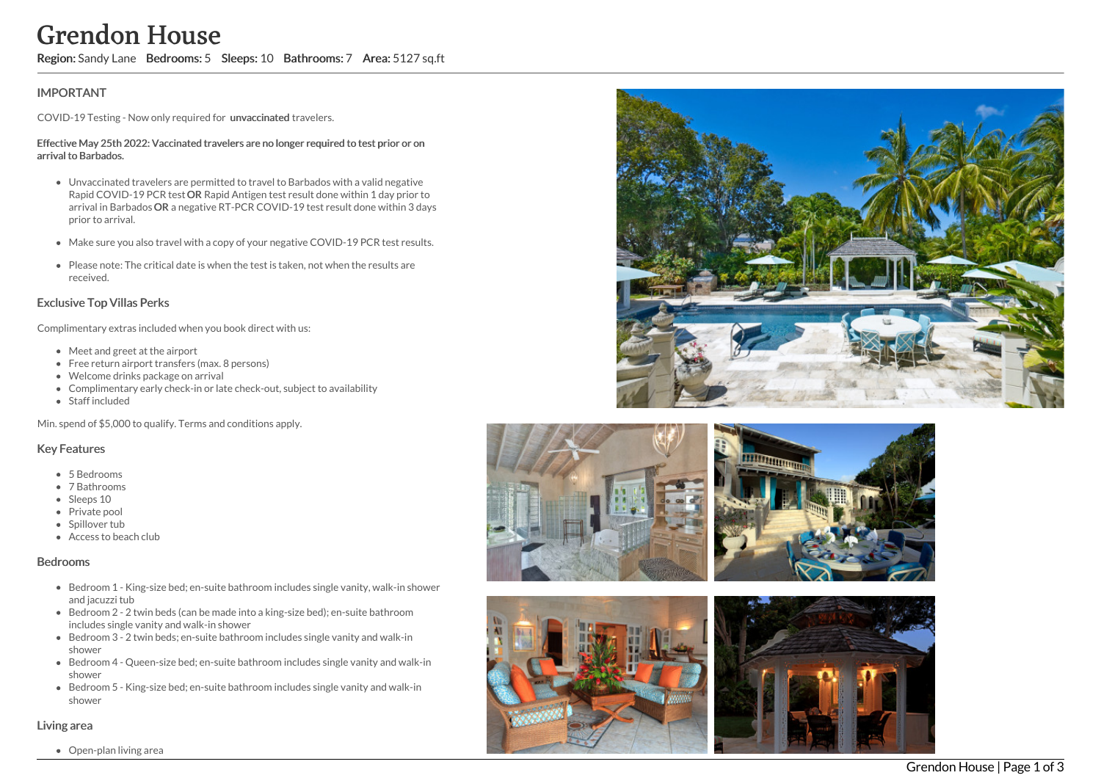# Grendon House

Region: Sandy Lane Bedrooms: 5 Sleeps: 10 Bathrooms: 7 Area: 5127 sq.ft

# **IMPORTANT**

COVID-19 Testing - Now only required for unvaccinated travelers.

#### Effective May 25th 2022: Vaccinated travelers are no longer required to test prior or on arrival to Barbados.

- Unvaccinated travelers are permitted to travel to Barbados with a valid negative Rapid COVID-19 PCR test OR Rapid Antigen test result done within 1 day prior to arrival in Barbados OR a negative RT-PCR COVID-19 test result done within 3 days prior to arrival.
- Make sure you also travel with a copy of your negative COVID-19 PCR test results.
- Please note: The critical date is when the test is taken, not when the results are received.

# Exclusive Top Villas Perks

Complimentary extras included when you book direct with us:

- Meet and greet at the airport
- Free return airport transfers (max. 8 persons)
- Welcome drinks package on arrival
- Complimentary early check-in or late check-out, subject to availability
- Staff included

Min. spend of \$5,000 to qualify. Terms and conditions apply.

## Key Features

- 5 Bedrooms
- 7 Bathrooms
- Sleeps 10
- Private pool
- Spillover tub
- Access to beach club

#### Bedrooms

- Bedroom 1 King-size bed; en-suite bathroom includes single vanity, walk-in showe r a n d j a c u z zi t u b
- Bedroom 2 2 twin beds (can be made into a king-size bed); en-suite bathroom includes single vanity and walk-in shower
- Bedroom 3 2 twin beds; en-suite bathroom includes single vanity and walk-in shower
- Bedroom 4 Queen-size bed; en-suite bathroom includes single vanity and walk -in s h o w e r
- Bedroom 5 King-size bed; en-suite bathroom includes single vanity and walk-in s h o w e r

## Living area

Open-plan living area







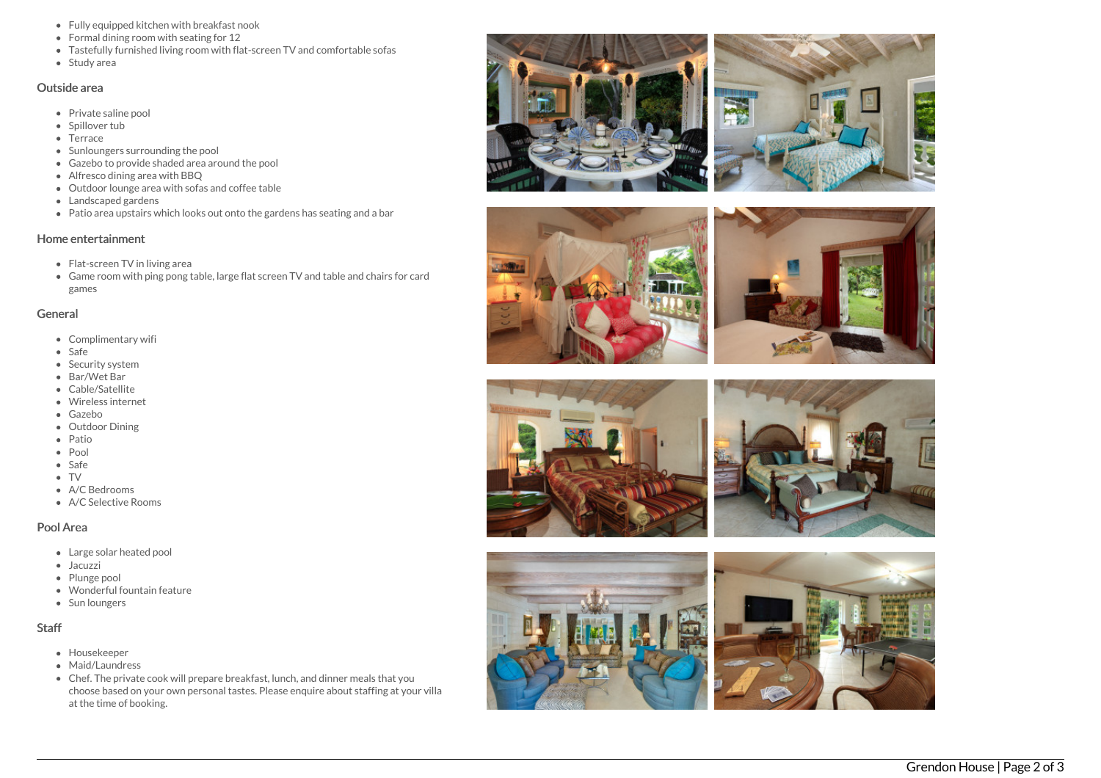- Fully equipped kitchen with breakfast nook
- Formal dining room with seating for 12
- Tastefully furnished living room with flat-screen TV and comfortable sofas
- Study area

#### Outside area

- Private saline pool
- Spillover tub
- Terrace
- Sunloungers surrounding the pool
- Gazebo to provide shaded area around the pool
- Alfresco dining area with BBQ
- Outdoor lounge area with sofas and coffee table
- Landscaped gardens
- Patio area upstairs which looks out onto the gardens has seating and a bar

## Home entertainment

- Flat-screen TV in living area
- Game room with ping pong table, large flat screen TV and table and chairs for card g a m e s

## General

- Complimentary wifi
- Safe
- Security system
- Bar/Wet Bar
- Cable/Satellite
- Wireless internet
- Gazebo
- Outdoor Dining
- Patio
- Pool
- Safe
- 
- TV<br>• A/C Bedrooms
- A/C Selective Room s

# Pool Area

- Large solar heated pool
- Jacuzzi
- Plunge pool
- Wonderful fountain feature
- Sun loungers

# S t a f f

- Housekeeper
- Maid/Laundress
- Chef. The private cook will prepare breakfast, lunch, and dinner meals that you choose based on your own personal tastes. Please enquire about staffing at your villa at the time of booking.